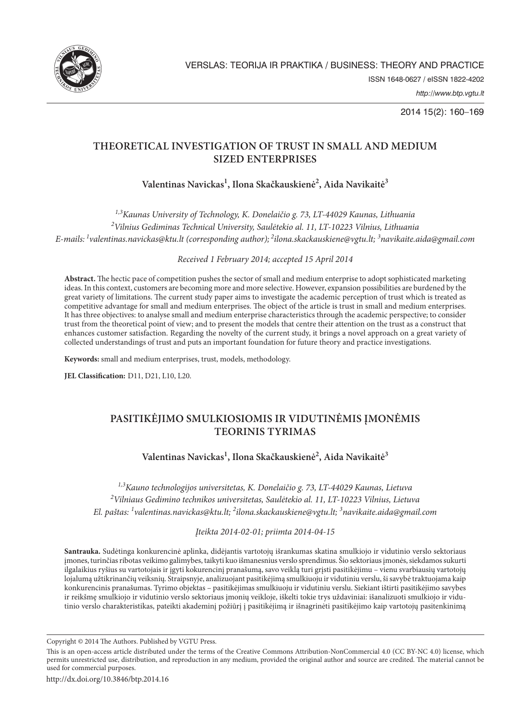

2014 15(2): 160–169

# **THEORETICAL INVESTIGATION OF TRUST IN SMALL AND MEDIUM SIZED ENTERPRISES**

**Valentinas Navickas1 , Ilona Skačkauskienė2 , Aida Navikaitė3**

*1,3Kaunas University of Technology, K. Donelaičio g. 73, LT-44029 Kaunas, Lithuania 2 Vilnius Gediminas Technical University, Saulėtekio al. 11, LT-10223 Vilnius, Lithuania*

*E-mails: 1valentinas.navickas@ktu.lt (corresponding author); 2ilona.skackauskiene@vgtu.lt; 3 navikaite.aida@gmail.com* 

*Received 1 February 2014; accepted 15 April 2014*

**Abstract.** The hectic pace of competition pushes the sector of small and medium enterprise to adopt sophisticated marketing ideas. In this context, customers are becoming more and more selective. However, expansion possibilities are burdened by the great variety of limitations. The current study paper aims to investigate the academic perception of trust which is treated as competitive advantage for small and medium enterprises. The object of the article is trust in small and medium enterprises. It has three objectives: to analyse small and medium enterprise characteristics through the academic perspective; to consider trust from the theoretical point of view; and to present the models that centre their attention on the trust as a construct that enhances customer satisfaction. Regarding the novelty of the current study, it brings a novel approach on a great variety of collected understandings of trust and puts an important foundation for future theory and practice investigations.

**Keywords:** small and medium enterprises, trust, models, methodology.

**JEL Classification:** D11, D21, L10, L20.

# **PASITIKĖJIMO SMULKIOSIOMIS IR VIDUTINĖMIS ĮMONĖMIS TEORINIS TYRIMAS**

**Valentinas Navickas1 , Ilona Skačkauskienė2 , Aida Navikaitė3**

*1,3Kauno technologijos universitetas, K. Donelaičio g. 73, LT-44029 Kaunas, Lietuva 2 Vilniaus Gedimino technikos universitetas, Saulėtekio al. 11, LT-10223 Vilnius, Lietuva El. paštas: 1 valentinas.navickas@ktu.lt; 2 ilona.skackauskiene@vgtu.lt; 3 navikaite.aida@gmail.com* 

*Įteikta 2014-02-01; priimta 2014-04-15*

**Santrauka.** Sudėtinga konkurencinė aplinka, didėjantis vartotojų išrankumas skatina smulkiojo ir vidutinio verslo sektoriaus įmones, turinčias ribotas veikimo galimybes, taikyti kuo išmanesnius verslo sprendimus. Šio sektoriaus įmonės, siekdamos sukurti ilgalaikius ryšius su vartotojais ir įgyti kokurencinį pranašumą, savo veiklą turi grįsti pasitikėjimu – vienu svarbiausių vartotojų lojalumą užtikrinančių veiksnių. Straipsnyje, analizuojant pasitikėjimą smulkiuoju ir vidutiniu verslu, ši savybė traktuojama kaip konkurencinis pranašumas. Tyrimo objektas – pasitikėjimas smulkiuoju ir vidutiniu verslu. Siekiant ištirti pasitikėjimo savybes ir reikšmę smulkiojo ir vidutinio verslo sektoriaus įmonių veikloje, iškelti tokie trys uždaviniai: išanalizuoti smulkiojo ir vidutinio verslo charakteristikas, pateikti akademinį požiūrį į pasitikėjimą ir išnagrinėti pasitikėjimo kaip vartotojų pasitenkinimą

Copyright © 2014 The Authors. Published by VGTU Press.

This is an open-access article distributed under the terms of the Creative Commons Attribution-NonCommercial 4.0 (CC BY-NC 4.0) license, which permits unrestricted use, distribution, and reproduction in any medium, provided the original author and source are credited. The material cannot be used for commercial purposes.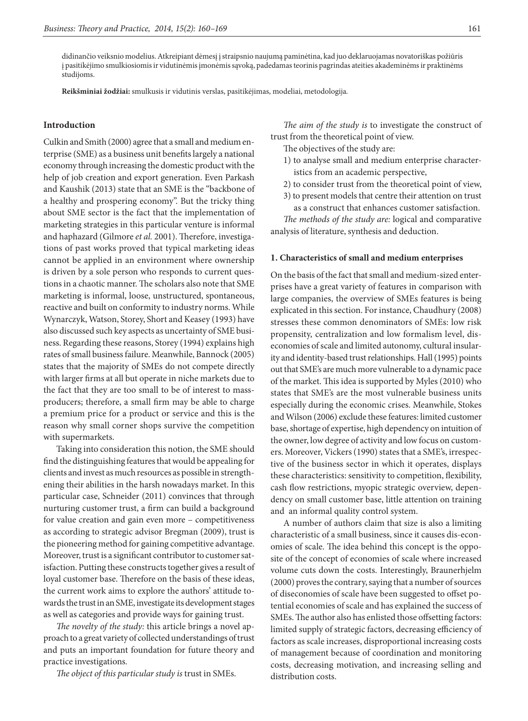didinančio veiksnio modelius. Atkreipiant dėmesį į straipsnio naujumą paminėtina, kad juo deklaruojamas novatoriškas požiūris į pasitikėjimo smulkiosiomis ir vidutinėmis įmonėmis sąvoką, padedamas teorinis pagrindas ateities akademinėms ir praktinėms studijoms.

**Reikšminiai žodžiai:** smulkusis ir vidutinis verslas, pasitikėjimas, modeliai, metodologija*.*

### **Introduction**

Culkin and Smith (2000) agree that a small and medium enterprise (SME) as a business unit benefits largely a national economy through increasing the domestic product with the help of job creation and export generation. Even Parkash and Kaushik (2013) state that an SME is the "backbone of a healthy and prospering economy". But the tricky thing about SME sector is the fact that the implementation of marketing strategies in this particular venture is informal and haphazard (Gilmore *et al.* 2001). Therefore, investigations of past works proved that typical marketing ideas cannot be applied in an environment where ownership is driven by a sole person who responds to current questions in a chaotic manner. The scholars also note that SME marketing is informal, loose, unstructured, spontaneous, reactive and built on conformity to industry norms. While Wynarczyk, Watson, Storey, Short and Keasey (1993) have also discussed such key aspects as uncertainty of SME business. Regarding these reasons, Storey (1994) explains high rates of small business failure. Meanwhile, Bannock (2005) states that the majority of SMEs do not compete directly with larger firms at all but operate in niche markets due to the fact that they are too small to be of interest to massproducers; therefore, a small firm may be able to charge a premium price for a product or service and this is the reason why small corner shops survive the competition with supermarkets.

Taking into consideration this notion, the SME should find the distinguishing features that would be appealing for clients and invest as much resources as possible in strengthening their abilities in the harsh nowadays market. In this particular case, Schneider (2011) convinces that through nurturing customer trust, a firm can build a background for value creation and gain even more – competitiveness as according to strategic advisor Bregman (2009), trust is the pioneering method for gaining competitive advantage. Moreover, trust is a significant contributor to customer satisfaction. Putting these constructs together gives a result of loyal customer base. Therefore on the basis of these ideas, the current work aims to explore the authors' attitude towards the trust in an SME, investigate its development stages as well as categories and provide ways for gaining trust.

*The novelty of the study:* this article brings a novel approach to a great variety of collected understandings of trust and puts an important foundation for future theory and practice investigations*.*

*The object of this particular study is* trust in SMEs.

*The aim of the study is* to investigate the construct of trust from the theoretical point of view.

- The objectives of the study are:
- 1) to analyse small and medium enterprise characteristics from an academic perspective,
- 2) to consider trust from the theoretical point of view,
- 3) to present models that centre their attention on trust as a construct that enhances customer satisfaction.

*The methods of the study are:* logical and comparative analysis of literature, synthesis and deduction.

#### **1. Characteristics of small and medium enterprises**

On the basis of the fact that small and medium-sized enterprises have a great variety of features in comparison with large companies, the overview of SMEs features is being explicated in this section. For instance, Chaudhury (2008) stresses these common denominators of SMEs: low risk propensity, centralization and low formalism level, diseconomies of scale and limited autonomy, cultural insularity and identity-based trust relationships. Hall (1995) points out that SME's are much more vulnerable to a dynamic pace of the market. This idea is supported by Myles (2010) who states that SME's are the most vulnerable business units especially during the economic crises. Meanwhile, Stokes and Wilson (2006) exclude these features: limited customer base, shortage of expertise, high dependency on intuition of the owner, low degree of activity and low focus on customers. Moreover, Vickers (1990) states that a SME's, irrespective of the business sector in which it operates, displays these characteristics: sensitivity to competition, flexibility, cash flow restrictions, myopic strategic overview, dependency on small customer base, little attention on training and an informal quality control system.

A number of authors claim that size is also a limiting characteristic of a small business, since it causes dis-economies of scale. The idea behind this concept is the opposite of the concept of economies of scale where increased volume cuts down the costs. Interestingly, Braunerhjelm (2000) proves the contrary, saying that a number of sources of diseconomies of scale have been suggested to offset potential economies of scale and has explained the success of SMEs. The author also has enlisted those offsetting factors: limited supply of strategic factors, decreasing efficiency of factors as scale increases, disproportional increasing costs of management because of coordination and monitoring costs, decreasing motivation, and increasing selling and distribution costs.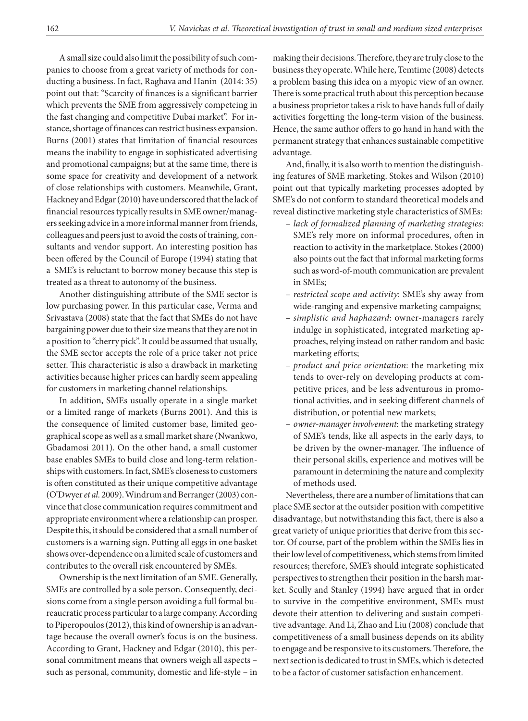A small size could also limit the possibility of such companies to choose from a great variety of methods for conducting a business. In fact, Raghava and Hanin (2014: 35) point out that: "Scarcity of finances is a significant barrier which prevents the SME from aggressively competeing in the fast changing and competitive Dubai market". For instance, shortage of finances can restrict business expansion. Burns (2001) states that limitation of financial resources means the inability to engage in sophisticated advertising and promotional campaigns; but at the same time, there is some space for creativity and development of a network of close relationships with customers. Meanwhile, Grant, Hackney and Edgar (2010) have underscored that the lack of financial resources typically results in SME owner/managers seeking advice in a more informal manner from friends, colleagues and peers just to avoid the costs of training, consultants and vendor support. An interesting position has been offered by the Council of Europe (1994) stating that a SME's is reluctant to borrow money because this step is treated as a threat to autonomy of the business.

Another distinguishing attribute of the SME sector is low purchasing power. In this particular case, Verma and Srivastava (2008) state that the fact that SMEs do not have bargaining power due to their size means that they are not in a position to "cherry pick". It could be assumed that usually, the SME sector accepts the role of a price taker not price setter. This characteristic is also a drawback in marketing activities because higher prices can hardly seem appealing for customers in marketing channel relationships.

In addition, SMEs usually operate in a single market or a limited range of markets (Burns 2001). And this is the consequence of limited customer base, limited geographical scope as well as a small market share (Nwankwo, Gbadamosi 2011). On the other hand, a small customer base enables SMEs to build close and long-term relationships with customers. In fact, SME's closeness to customers is often constituted as their unique competitive advantage (O'Dwyer *et al.* 2009). Windrum and Berranger (2003) convince that close communication requires commitment and appropriate environment where a relationship can prosper. Despite this, it should be considered that a small number of customers is a warning sign. Putting all eggs in one basket shows over-dependence on a limited scale of customers and contributes to the overall risk encountered by SMEs.

Ownership is the next limitation of an SME. Generally, SMEs are controlled by a sole person. Consequently, decisions come from a single person avoiding a full formal bureaucratic process particular to a large company. According to Piperopoulos (2012), this kind of ownership is an advantage because the overall owner's focus is on the business. According to Grant, Hackney and Edgar (2010), this personal commitment means that owners weigh all aspects – such as personal, community, domestic and life-style – in making their decisions. Therefore, they are truly close to the business they operate. While here, Temtime (2008) detects a problem basing this idea on a myopic view of an owner. There is some practical truth about this perception because a business proprietor takes a risk to have hands full of daily activities forgetting the long-term vision of the business. Hence, the same author offers to go hand in hand with the permanent strategy that enhances sustainable competitive advantage.

And, finally, it is also worth to mention the distinguishing features of SME marketing. Stokes and Wilson (2010) point out that typically marketing processes adopted by SME's do not conform to standard theoretical models and reveal distinctive marketing style characteristics of SMEs:

- *lack of formalized planning of marketing strategies:* SME's rely more on informal procedures, often in reaction to activity in the marketplace. Stokes (2000) also points out the fact that informal marketing forms such as word-of-mouth communication are prevalent in SMEs;
- *restricted scope and activity*: SME's shy away from wide-ranging and expensive marketing campaigns;
- *simplistic and haphazard*: owner-managers rarely indulge in sophisticated, integrated marketing approaches, relying instead on rather random and basic marketing efforts;
- *product and price orientation*: the marketing mix tends to over-rely on developing products at competitive prices, and be less adventurous in promotional activities, and in seeking different channels of distribution, or potential new markets;
- *owner-manager involvement*: the marketing strategy of SME's tends, like all aspects in the early days, to be driven by the owner-manager. The influence of their personal skills, experience and motives will be paramount in determining the nature and complexity of methods used.

Nevertheless, there are a number of limitations that can place SME sector at the outsider position with competitive disadvantage, but notwithstanding this fact, there is also a great variety of unique priorities that derive from this sector. Of course, part of the problem within the SMEs lies in their low level of competitiveness, which stems from limited resources; therefore, SME's should integrate sophisticated perspectives to strengthen their position in the harsh market. Scully and Stanley (1994) have argued that in order to survive in the competitive environment, SMEs must devote their attention to delivering and sustain competitive advantage. And Li, Zhao and Liu (2008) conclude that competitiveness of a small business depends on its ability to engage and be responsive to its customers. Therefore, the next section is dedicated to trust in SMEs, which is detected to be a factor of customer satisfaction enhancement.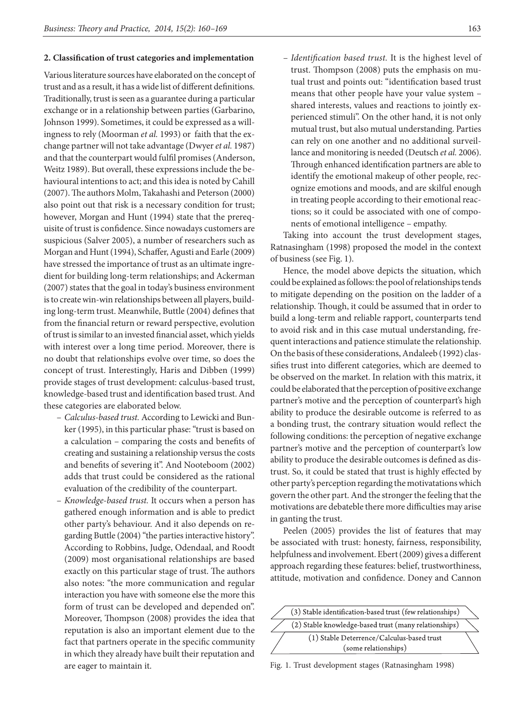## **2. Classification of trust categories and implementation**

Various literature sources have elaborated on the concept of trust and as a result, it has a wide list of different definitions. Traditionally, trust is seen as a guarantee during a particular exchange or in a relationship between parties (Garbarino, Johnson 1999). Sometimes, it could be expressed as a willingness to rely (Moorman *et al.* 1993) or faith that the exchange partner will not take advantage (Dwyer *et al.* 1987) and that the counterpart would fulfil promises (Anderson, Weitz 1989). But overall, these expressions include the behavioural intentions to act; and this idea is noted by Cahill (2007). The authors Molm, Takahashi and Peterson (2000) also point out that risk is a necessary condition for trust; however, Morgan and Hunt (1994) state that the prerequisite of trust is confidence. Since nowadays customers are suspicious (Salver 2005), a number of researchers such as Morgan and Hunt (1994), Schaffer, Agusti and Earle (2009) have stressed the importance of trust as an ultimate ingredient for building long-term relationships; and Ackerman (2007) states that the goal in today's business environment is to create win-win relationships between all players, building long-term trust. Meanwhile, Buttle (2004) defines that from the financial return or reward perspective, evolution of trust is similar to an invested financial asset, which yields with interest over a long time period. Moreover, there is no doubt that relationships evolve over time, so does the concept of trust. Interestingly, Haris and Dibben (1999) provide stages of trust development: calculus-based trust, knowledge-based trust and identification based trust. And these categories are elaborated below.

- *Calculus-based trust.* According to Lewicki and Bunker (1995), in this particular phase: "trust is based on a calculation – comparing the costs and benefits of creating and sustaining a relationship versus the costs and benefits of severing it". And Nooteboom (2002) adds that trust could be considered as the rational evaluation of the credibility of the counterpart.
- *Knowledge-based trust.* It occurs when a person has gathered enough information and is able to predict other party's behaviour. And it also depends on regarding Buttle (2004) "the parties interactive history". According to Robbins, Judge, Odendaal, and Roodt (2009) most organisational relationships are based exactly on this particular stage of trust. The authors also notes: "the more communication and regular interaction you have with someone else the more this form of trust can be developed and depended on". Moreover, Thompson (2008) provides the idea that reputation is also an important element due to the fact that partners operate in the specific community in which they already have built their reputation and are eager to maintain it.

– *Identification based trust.* It is the highest level of trust. Thompson (2008) puts the emphasis on mutual trust and points out: "identification based trust means that other people have your value system – shared interests, values and reactions to jointly experienced stimuli". On the other hand, it is not only mutual trust, but also mutual understanding. Parties can rely on one another and no additional surveillance and monitoring is needed (Deutsch *et al.* 2006). Through enhanced identification partners are able to identify the emotional makeup of other people, recognize emotions and moods, and are skilful enough in treating people according to their emotional reactions; so it could be associated with one of components of emotional intelligence – empathy.

Taking into account the trust development stages, Ratnasingham (1998) proposed the model in the context of business (see Fig. 1).

Hence, the model above depicts the situation, which could be explained as follows: the pool of relationships tends to mitigate depending on the position on the ladder of a relationship. Though, it could be assumed that in order to build a long-term and reliable rapport, counterparts tend to avoid risk and in this case mutual understanding, frequent interactions and patience stimulate the relationship. On the basis of these considerations, Andaleeb (1992) classifies trust into different categories, which are deemed to be observed on the market. In relation with this matrix, it could be elaborated that the perception of positive exchange partner's motive and the perception of counterpart's high ability to produce the desirable outcome is referred to as a bonding trust, the contrary situation would reflect the following conditions: the perception of negative exchange partner's motive and the perception of counterpart's low ability to produce the desirable outcomes is defined as distrust. So, it could be stated that trust is highly effected by other party's perception regarding the motivatations which govern the other part. And the stronger the feeling that the motivations are debateble there more difficulties may arise in ganting the trust.

Peelen (2005) provides the list of features that may be associated with trust: honesty, fairness, responsibility, helpfulness and involvement. Ebert (2009) gives a different approach regarding these features: belief, trustworthiness, attitude, motivation and confidence. Doney and Cannon



Fig. 1. Trust development stages (Ratnasingham 1998)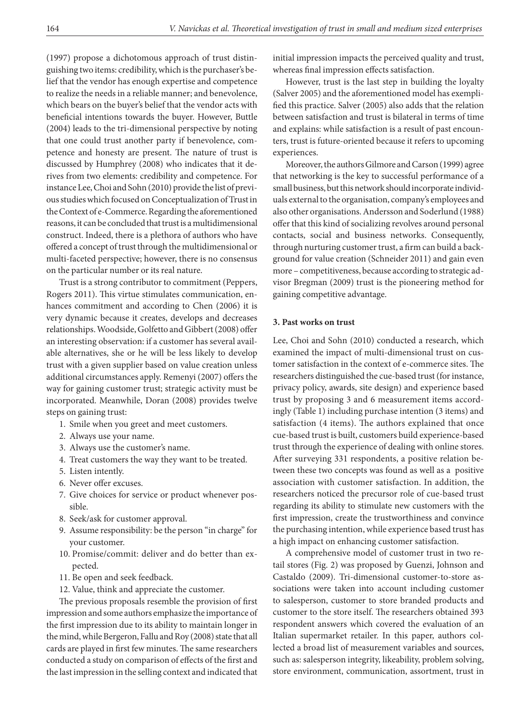(1997) propose a dichotomous approach of trust distinguishing two items: credibility, which is the purchaser's belief that the vendor has enough expertise and competence to realize the needs in a reliable manner; and benevolence, which bears on the buyer's belief that the vendor acts with beneficial intentions towards the buyer. However, Buttle (2004) leads to the tri-dimensional perspective by noting that one could trust another party if benevolence, competence and honesty are present. The nature of trust is discussed by Humphrey (2008) who indicates that it derives from two elements: credibility and competence. For instance Lee, Choi and Sohn (2010) provide the list of previous studies which focused on Conceptualization of Trust in the Context of e-Commerce. Regarding the aforementioned reasons, it can be concluded that trust is a multidimensional construct. Indeed, there is a plethora of authors who have offered a concept of trust through the multidimensional or multi-faceted perspective; however, there is no consensus on the particular number or its real nature.

Trust is a strong contributor to commitment (Peppers, Rogers 2011). This virtue stimulates communication, enhances commitment and according to Chen (2006) it is very dynamic because it creates, develops and decreases relationships. Woodside, Golfetto and Gibbert (2008) offer an interesting observation: if a customer has several available alternatives, she or he will be less likely to develop trust with a given supplier based on value creation unless additional circumstances apply. Remenyi (2007) offers the way for gaining customer trust; strategic activity must be incorporated. Meanwhile, Doran (2008) provides twelve steps on gaining trust:

- 1. Smile when you greet and meet customers.
- 2. Always use your name.
- 3. Always use the customer's name.
- 4. Treat customers the way they want to be treated.
- 5. Listen intently.
- 6. Never offer excuses.
- 7. Give choices for service or product whenever possible.
- 8. Seek/ask for customer approval.
- 9. Assume responsibility: be the person "in charge" for your customer.
- 10. Promise/commit: deliver and do better than expected.
- 11. Be open and seek feedback.
- 12. Value, think and appreciate the customer.

The previous proposals resemble the provision of first impression and some authors emphasize the importance of the first impression due to its ability to maintain longer in the mind, while Bergeron, Fallu and Roy (2008) state that all cards are played in first few minutes. The same researchers conducted a study on comparison of effects of the first and the last impression in the selling context and indicated that initial impression impacts the perceived quality and trust, whereas final impression effects satisfaction.

However, trust is the last step in building the loyalty (Salver 2005) and the aforementioned model has exemplified this practice. Salver (2005) also adds that the relation between satisfaction and trust is bilateral in terms of time and explains: while satisfaction is a result of past encounters, trust is future-oriented because it refers to upcoming experiences.

Moreover, the authors Gilmore and Carson (1999) agree that networking is the key to successful performance of a small business, but this network should incorporate individuals external to the organisation, company's employees and also other organisations. Andersson and Soderlund (1988) offer that this kind of socializing revolves around personal contacts, social and business networks. Consequently, through nurturing customer trust, a firm can build a background for value creation (Schneider 2011) and gain even more – competitiveness, because according to strategic advisor Bregman (2009) trust is the pioneering method for gaining competitive advantage.

### **3. Past works on trust**

Lee, Choi and Sohn (2010) conducted a research, which examined the impact of multi-dimensional trust on customer satisfaction in the context of e-commerce sites. The researchers distinguished the cue-based trust (for instance, privacy policy, awards, site design) and experience based trust by proposing 3 and 6 measurement items accordingly (Table 1) including purchase intention (3 items) and satisfaction (4 items). The authors explained that once cue-based trust is built, customers build experience-based trust through the experience of dealing with online stores. After surveying 331 respondents, a positive relation between these two concepts was found as well as a positive association with customer satisfaction. In addition, the researchers noticed the precursor role of cue-based trust regarding its ability to stimulate new customers with the first impression, create the trustworthiness and convince the purchasing intention, while experience based trust has a high impact on enhancing customer satisfaction.

A comprehensive model of customer trust in two retail stores (Fig. 2) was proposed by Guenzi, Johnson and Castaldo (2009). Tri-dimensional customer-to-store associations were taken into account including customer to salesperson, customer to store branded products and customer to the store itself. The researchers obtained 393 respondent answers which covered the evaluation of an Italian supermarket retailer. In this paper, authors collected a broad list of measurement variables and sources, such as: salesperson integrity, likeability, problem solving, store environment, communication, assortment, trust in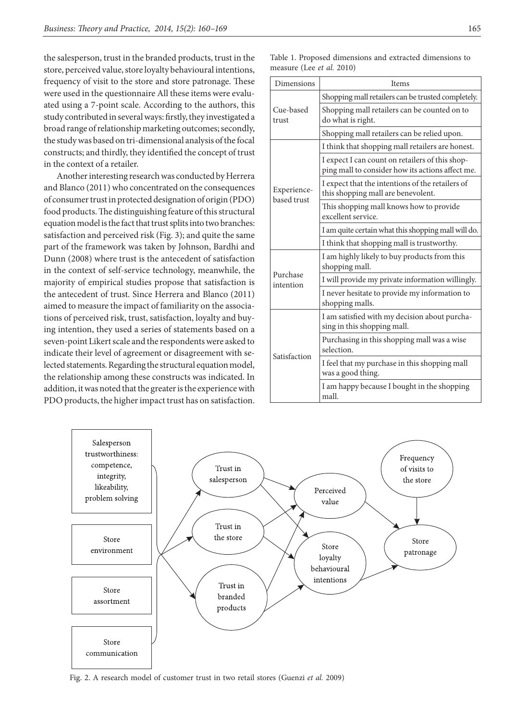the salesperson, trust in the branded products, trust in the store, perceived value, store loyalty behavioural intentions, frequency of visit to the store and store patronage. These were used in the questionnaire All these items were evaluated using a 7-point scale. According to the authors, this study contributed in several ways: firstly, they investigated a broad range of relationship marketing outcomes; secondly, the study was based on tri-dimensional analysis of the focal constructs; and thirdly, they identified the concept of trust in the context of a retailer.

Another interesting research was conducted by Herrera and Blanco (2011) who concentrated on the consequences of consumer trust in protected designation of origin (PDO) food products. The distinguishing feature of this structural equation model is the fact that trust splits into two branches: satisfaction and perceived risk (Fig. 3); and quite the same part of the framework was taken by Johnson, Bardhi and Dunn (2008) where trust is the antecedent of satisfaction in the context of self-service technology, meanwhile, the majority of empirical studies propose that satisfaction is the antecedent of trust. Since Herrera and Blanco (2011) aimed to measure the impact of familiarity on the associations of perceived risk, trust, satisfaction, loyalty and buying intention, they used a series of statements based on a seven-point Likert scale and the respondents were asked to indicate their level of agreement or disagreement with selected statements. Regarding the structural equation model, the relationship among these constructs was indicated. In addition, it was noted that the greater is the experience with PDO products, the higher impact trust has on satisfaction.

Table 1. Proposed dimensions and extracted dimensions to measure (Lee *et al.* 2010)

| Dimensions                 | Items                                                                                               |
|----------------------------|-----------------------------------------------------------------------------------------------------|
| Cue-based<br>trust         | Shopping mall retailers can be trusted completely.                                                  |
|                            | Shopping mall retailers can be counted on to<br>do what is right.                                   |
|                            | Shopping mall retailers can be relied upon.                                                         |
| Experience-<br>based trust | I think that shopping mall retailers are honest.                                                    |
|                            | I expect I can count on retailers of this shop-<br>ping mall to consider how its actions affect me. |
|                            | I expect that the intentions of the retailers of<br>this shopping mall are benevolent.              |
|                            | This shopping mall knows how to provide<br>excellent service.                                       |
|                            | I am quite certain what this shopping mall will do.                                                 |
|                            | I think that shopping mall is trustworthy.                                                          |
| Purchase<br>intention      | I am highly likely to buy products from this<br>shopping mall.                                      |
|                            | I will provide my private information willingly.                                                    |
|                            | I never hesitate to provide my information to<br>shopping malls.                                    |
| Satisfaction               | I am satisfied with my decision about purcha-<br>sing in this shopping mall.                        |
|                            | Purchasing in this shopping mall was a wise<br>selection.                                           |
|                            | I feel that my purchase in this shopping mall<br>was a good thing.                                  |
|                            | I am happy because I bought in the shopping<br>mall.                                                |



Fig. 2. A research model of customer trust in two retail stores (Guenzi *et al.* 2009)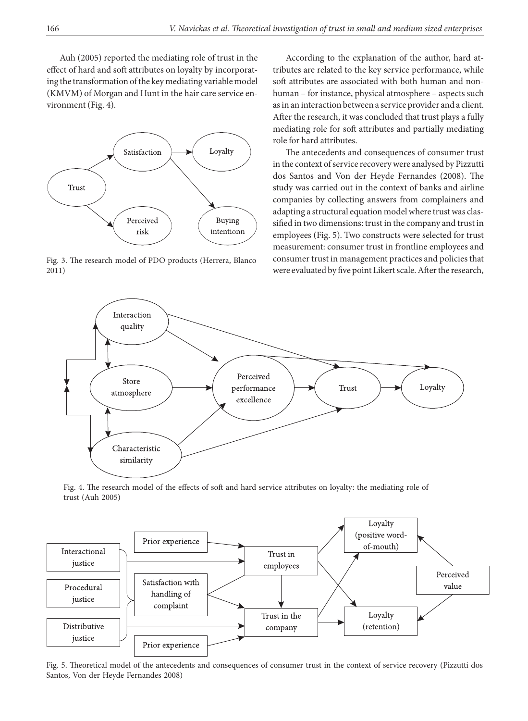Auh (2005) reported the mediating role of trust in the effect of hard and soft attributes on loyalty by incorporating the transformation of the key mediating variable model (KMVM) of Morgan and Hunt in the hair care service environment (Fig. 4).



Fig. 3. The research model of PDO products (Herrera, Blanco 2011)

According to the explanation of the author, hard attributes are related to the key service performance, while soft attributes are associated with both human and nonhuman – for instance, physical atmosphere – aspects such as in an interaction between a service provider and a client. After the research, it was concluded that trust plays a fully mediating role for soft attributes and partially mediating role for hard attributes.

The antecedents and consequences of consumer trust in the context of service recovery were analysed by Pizzutti dos Santos and Von der Heyde Fernandes (2008). The study was carried out in the context of banks and airline companies by collecting answers from complainers and adapting a structural equation model where trust was classified in two dimensions: trust in the company and trust in employees (Fig. 5). Two constructs were selected for trust measurement: consumer trust in frontline employees and consumer trust in management practices and policies that were evaluated by five point Likert scale. After the research,



Fig. 4. The research model of the effects of soft and hard service attributes on loyalty: the mediating role of trust (Auh 2005)



Fig. 5. Theoretical model of the antecedents and consequences of consumer trust in the context of service recovery (Pizzutti dos Santos, Von der Heyde Fernandes 2008)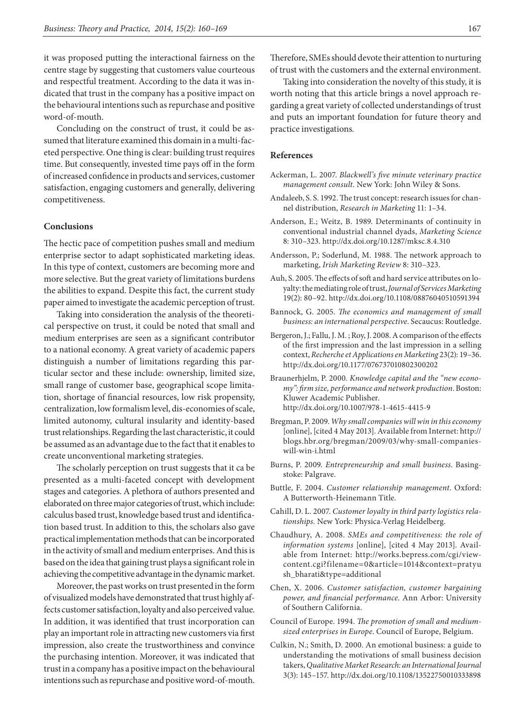it was proposed putting the interactional fairness on the centre stage by suggesting that customers value courteous and respectful treatment. According to the data it was indicated that trust in the company has a positive impact on the behavioural intentions such as repurchase and positive word-of-mouth.

Concluding on the construct of trust, it could be assumed that literature examined this domain in a multi-faceted perspective. One thing is clear: building trust requires time. But consequently, invested time pays off in the form of increased confidence in products and services, customer satisfaction, engaging customers and generally, delivering competitiveness.

## **Conclusions**

The hectic pace of competition pushes small and medium enterprise sector to adapt sophisticated marketing ideas. In this type of context, customers are becoming more and more selective. But the great variety of limitations burdens the abilities to expand. Despite this fact, the current study paper aimed to investigate the academic perception of trust.

Taking into consideration the analysis of the theoretical perspective on trust, it could be noted that small and medium enterprises are seen as a significant contributor to a national economy. A great variety of academic papers distinguish a number of limitations regarding this particular sector and these include: ownership, limited size, small range of customer base, geographical scope limitation, shortage of financial resources, low risk propensity, centralization, low formalism level, dis-economies of scale, limited autonomy, cultural insularity and identity-based trust relationships. Regarding the last characteristic, it could be assumed as an advantage due to the fact that it enables to create unconventional marketing strategies.

The scholarly perception on trust suggests that it ca be presented as a multi-faceted concept with development stages and categories. A plethora of authors presented and elaborated on three major categories of trust, which include: calculus based trust, knowledge based trust and identification based trust. In addition to this, the scholars also gave practical implementation methods that can be incorporated in the activity of small and medium enterprises. And this is based on the idea that gaining trust plays a significant role in achieving the competitive advantage in the dynamic market.

Moreover, the past works on trust presented in the form of visualized models have demonstrated that trust highly affects customer satisfaction, loyalty and also perceived value. In addition, it was identified that trust incorporation can play an important role in attracting new customers via first impression, also create the trustworthiness and convince the purchasing intention. Moreover, it was indicated that trust in a company has a positive impact on the behavioural intentions such as repurchase and positive word-of-mouth.

Therefore, SMEs should devote their attention to nurturing of trust with the customers and the external environment.

Taking into consideration the novelty of this study, it is worth noting that this article brings a novel approach regarding a great variety of collected understandings of trust and puts an important foundation for future theory and practice investigations*.*

#### **References**

- Ackerman, L. 2007. *Blackwell's five minute veterinary practice management consult.* New York: John Wiley & Sons.
- Andaleeb, S. S. 1992. The trust concept: research issues for channel distribution, *Research in Marketing* 11: 1–34.
- Anderson, E.; Weitz, B. 1989. Determinants of continuity in conventional industrial channel dyads, *Marketing Science* 8: 310–323. http://dx.doi.org/10.1287/mksc.8.4.310
- Andersson, P.; Soderlund, M. 1988. The network approach to marketing, *Irish Marketing Review* 8: 310–323.
- Auh, S. 2005. The effects of soft and hard service attributes on loyalty: the mediating role of trust, *Journal of Services Marketing* 19(2): 80–92. http://dx.doi.org/10.1108/08876040510591394
- Bannock, G. 2005. *The economics and management of small business: an international perspective*. Secaucus: Routledge.
- Bergeron, J.; Fallu, J. M. ; Roy, J. 2008. A comparison of the effects of the first impression and the last impression in a selling context, *Recherche et Applications en Marketing* 23(2): 19–36. http://dx.doi.org/10.1177/076737010802300202
- Braunerhjelm, P. 2000. *Knowledge capital and the "new economy": firm size, performance and network production*. Boston: Kluwer Academic Publisher. http://dx.doi.org/10.1007/978-1-4615-4415-9
- Bregman, P. 2009. *Why small companies will win in this economy* [online], [cited 4 May 2013]. Available from Internet: http:// blogs.hbr.org/bregman/2009/03/why-small-companieswill-win-i.html
- Burns, P. 2009. *Entrepreneurship and small business*. Basingstoke: Palgrave.
- Buttle, F. 2004. *Customer relationship management*. Oxford: A Butterworth-Heinemann Title.
- Cahill, D. L. 2007. *Customer loyalty in third party logistics relationships.* New York: Physica-Verlag Heidelberg.
- Chaudhury, A. 2008. *SMEs and competitiveness: the role of information systems* [online], [cited 4 May 2013]. Available from Internet: http://works.bepress.com/cgi/viewcontent.cgi?filename=0&article=1014&context=pratyu sh\_bharati&type=additional
- Chen, X. 2006. *Customer satisfaction, customer bargaining power, and financial performance*. Ann Arbor: University of Southern California.
- Council of Europe. 1994. *The promotion of small and mediumsized enterprises in Europe*. Council of Europe, Belgium.
- Culkin, N.; Smith, D. 2000. An emotional business: a guide to understanding the motivations of small business decision takers, *Qualitative Market Research: an International Journal* 3(3): 145–157. http://dx.doi.org/10.1108/13522750010333898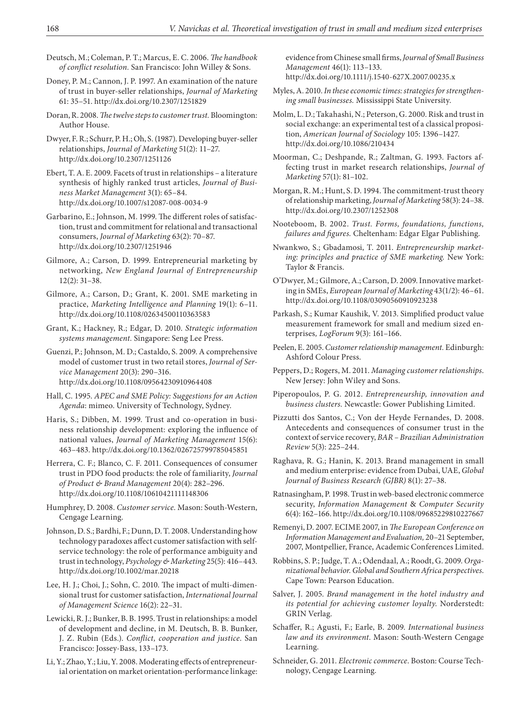- Deutsch, M.; Coleman, P. T.; Marcus, E. C. 2006. *The handbook of conflict resolution.* San Francisco: John Willey & Sons.
- Doney, P. M.; Cannon, J. P. 1997. An examination of the nature of trust in buyer-seller relationships, *Journal of Marketing* 61: 35–51. http://dx.doi.org/10.2307/1251829
- Doran, R. 2008. *The twelve steps to customer trust.* Bloomington: Author House.
- Dwyer, F. R.; Schurr, P. H.; Oh, S. (1987). Developing buyer-seller relationships, *Journal of Marketing* 51(2): 11–27. http://dx.doi.org/10.2307/1251126
- Ebert, T. A. E. 2009. Facets of trust in relationships a literature synthesis of highly ranked trust articles, *Journal of Business Market Management* 3(1): 65–84. http://dx.doi.org/10.1007/s12087-008-0034-9
- Garbarino, E.; Johnson, M. 1999. The different roles of satisfaction, trust and commitment for relational and transactional consumers, *Journal of Marketing* 63(2): 70–87. http://dx.doi.org/10.2307/1251946
- Gilmore, A.; Carson, D. 1999. Entrepreneurial marketing by networking, *New England Journal of Entrepreneurship* 12(2): 31–38.
- Gilmore, A.; Carson, D.; Grant, K. 2001. SME marketing in practice, *Marketing Intelligence and Planning* 19(1): 6–11. http://dx.doi.org/10.1108/02634500110363583
- Grant, K.; Hackney, R.; Edgar, D. 2010. *Strategic information systems management.* Singapore: Seng Lee Press.
- Guenzi, P.; Johnson, M. D.; Castaldo, S. 2009. A comprehensive model of customer trust in two retail stores, *Journal of Service Management* 20(3): 290–316. http://dx.doi.org/10.1108/09564230910964408
- Hall, C. 1995. *APEC and SME Policy: Suggestions for an Action Agenda*: mimeo. University of Technology, Sydney.
- Haris, S.; Dibben, M. 1999. Trust and co-operation in business relationship development: exploring the influence of national values, *Journal of Marketing Management* 15(6): 463–483. http://dx.doi.org/10.1362/026725799785045851
- Herrera, C. F.; Blanco, C. F. 2011. Consequences of consumer trust in PDO food products: the role of familiarity, *Journal of Product & Brand Management* 20(4): 282–296. http://dx.doi.org/10.1108/10610421111148306
- Humphrey, D. 2008. *Customer service*. Mason: South-Western, Cengage Learning.
- Johnson, D. S.; Bardhi, F.; Dunn, D. T. 2008. Understanding how technology paradoxes affect customer satisfaction with selfservice technology: the role of performance ambiguity and trust in technology, *Psychology & Marketing* 25(5): 416–443. http://dx.doi.org/10.1002/mar.20218
- Lee, H. J.; Choi, J.; Sohn, C. 2010. The impact of multi-dimensional trust for customer satisfaction, *International Journal of Management Science* 16(2): 22–31.
- Lewicki, R. J.; Bunker, B. B. 1995. Trust in relationships: a model of development and decline, in M. Deutsch, B. B. Bunker, J. Z. Rubin (Eds.). *Conflict, cooperation and justice*. San Francisco: Jossey-Bass, 133–173.
- Li, Y.; Zhao, Y.; Liu, Y. 2008. Moderating effects of entrepreneurial orientation on market orientation-performance linkage:

evidence from Chinese small firms, *Journal of Small Business Management* 46(1): 113–133. http://dx.doi.org/10.1111/j.1540-627X.2007.00235.x

- Myles, A. 2010. *In these economic times: strategies for strengthening small businesses.* Mississippi State University.
- Molm, L. D.; Takahashi, N.; Peterson, G. 2000. Risk and trust in social exchange: an experimental test of a classical proposition, *American Journal of Sociology* 105: 1396–1427. http://dx.doi.org/10.1086/210434
- Moorman, C.; Deshpande, R.; Zaltman, G. 1993. Factors affecting trust in market research relationships, *Journal of Marketing* 57(1): 81–102.
- Morgan, R. M.; Hunt, S. D. 1994. The commitment-trust theory of relationship marketing, *Journal of Marketing* 58(3): 24–38. http://dx.doi.org/10.2307/1252308
- Nooteboom, B. 2002. *Trust. Forms, foundations, functions, failures and figures.* Cheltenham: Edgar Elgar Publishing.
- Nwankwo, S.; Gbadamosi, T. 2011. *Entrepreneurship marketing: principles and practice of SME marketing.* New York: Taylor & Francis.
- O'Dwyer, M.; Gilmore, A.; Carson, D. 2009. Innovative marketing in SMEs, *European Journal of Marketing* 43(1/2): 46–61. http://dx.doi.org/10.1108/03090560910923238
- Parkash, S.; Kumar Kaushik, V. 2013. Simplified product value measurement framework for small and medium sized enterprises*, LogForum* 9(3): 161–166.
- Peelen, E. 2005. *Customer relationship management.* Edinburgh: Ashford Colour Press.
- Peppers, D.; Rogers, M. 2011. *Managing customer relationships*. New Jersey: John Wiley and Sons.
- Piperopoulos, P. G. 2012. *Entrepreneurship, innovation and business clusters.* Newcastle: Gower Publishing Limited.
- Pizzutti dos Santos, C.; Von der Heyde Fernandes, D. 2008. Antecedents and consequences of consumer trust in the context of service recovery, *BAR – Brazilian Administration Review* 5(3): 225–244.
- Raghava, R. G.; Hanin, K. 2013. Brand management in small and medium enterprise: evidence from Dubai, UAE, *Global Journal of Business Research (GJBR)* 8(1): 27–38.
- Ratnasingham, P. 1998. Trust in web-based electronic commerce security, *Information Management* & *Computer Security* 6(4): 162–166. http://dx.doi.org/10.1108/09685229810227667
- Remenyi, D. 2007. ECIME 2007, in *The European Conference on Information Management and Evaluation,* 20–21 September, 2007, Montpellier, France, Academic Conferences Limited.
- Robbins, S. P.; Judge, T. A.; Odendaal, A.; Roodt, G. 2009. *Organizational behavior. Global and Southern Africa perspectives*. Cape Town: Pearson Education.
- Salver, J. 2005. *Brand management in the hotel industry and its potential for achieving customer loyalty*. Norderstedt: GRIN Verlag.
- Schaffer, R.; Agusti, F.; Earle, B. 2009. *International business law and its environment*. Mason: South-Western Cengage Learning.
- Schneider, G. 2011. *Electronic commerce*. Boston: Course Technology, Cengage Learning.